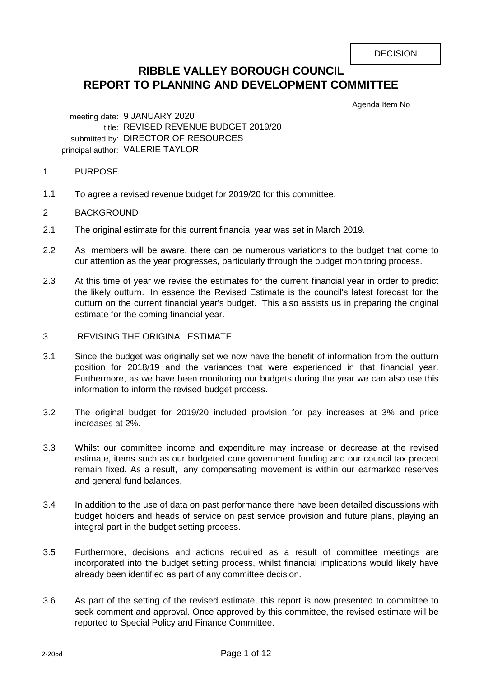# **RIBBLE VALLEY BOROUGH COUNCIL REPORT TO PLANNING AND DEVELOPMENT COMMITTEE**

Agenda Item No

meeting date: 9 JANUARY 2020 title: REVISED REVENUE BUDGET 2019/20 submitted by: DIRECTOR OF RESOURCES principal author: VALERIE TAYLOR

- 1 PURPOSE
- 1.1 To agree a revised revenue budget for 2019/20 for this committee.
- 2 BACKGROUND
- 2.1 The original estimate for this current financial year was set in March 2019.
- 2.2 As members will be aware, there can be numerous variations to the budget that come to our attention as the year progresses, particularly through the budget monitoring process.
- 2.3 At this time of year we revise the estimates for the current financial year in order to predict the likely outturn. In essence the Revised Estimate is the council's latest forecast for the outturn on the current financial year's budget. This also assists us in preparing the original estimate for the coming financial year.
- 3 REVISING THE ORIGINAL ESTIMATE
- 3.1 Since the budget was originally set we now have the benefit of information from the outturn position for 2018/19 and the variances that were experienced in that financial year. Furthermore, as we have been monitoring our budgets during the year we can also use this information to inform the revised budget process.
- 3.2 The original budget for 2019/20 included provision for pay increases at 3% and price increases at 2%.
- 3.3 Whilst our committee income and expenditure may increase or decrease at the revised estimate, items such as our budgeted core government funding and our council tax precept remain fixed. As a result, any compensating movement is within our earmarked reserves and general fund balances.
- 3.4 In addition to the use of data on past performance there have been detailed discussions with budget holders and heads of service on past service provision and future plans, playing an integral part in the budget setting process.
- 3.5 Furthermore, decisions and actions required as a result of committee meetings are incorporated into the budget setting process, whilst financial implications would likely have already been identified as part of any committee decision.
- 3.6 As part of the setting of the revised estimate, this report is now presented to committee to seek comment and approval. Once approved by this committee, the revised estimate will be reported to Special Policy and Finance Committee.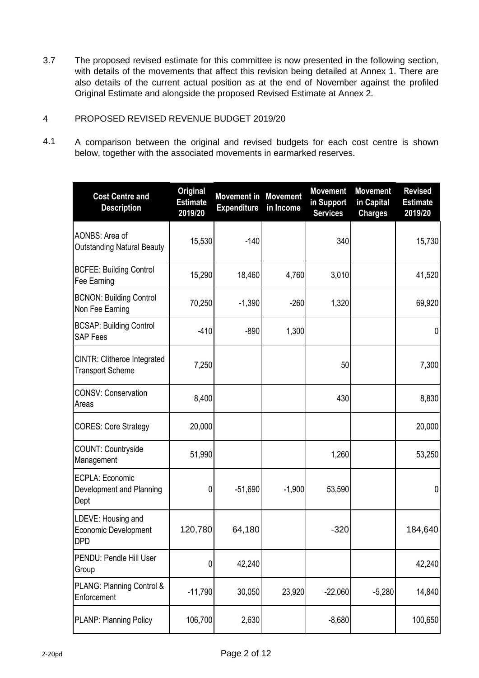3.7 The proposed revised estimate for this committee is now presented in the following section, with details of the movements that affect this revision being detailed at Annex 1. There are also details of the current actual position as at the end of November against the profiled Original Estimate and alongside the proposed Revised Estimate at Annex 2.

#### 4 PROPOSED REVISED REVENUE BUDGET 2019/20

4.1 A comparison between the original and revised budgets for each cost centre is shown below, together with the associated movements in earmarked reserves.

| <b>Cost Centre and</b><br><b>Description</b>                    | <b>Original</b><br><b>Estimate</b><br>2019/20 | <b>Movement in Movement</b><br><b>Expenditure</b> | in Income | <b>Movement</b><br>in Support<br><b>Services</b> | <b>Movement</b><br>in Capital<br><b>Charges</b> | <b>Revised</b><br><b>Estimate</b><br>2019/20 |
|-----------------------------------------------------------------|-----------------------------------------------|---------------------------------------------------|-----------|--------------------------------------------------|-------------------------------------------------|----------------------------------------------|
| AONBS: Area of<br><b>Outstanding Natural Beauty</b>             | 15,530                                        | $-140$                                            |           | 340                                              |                                                 | 15,730                                       |
| <b>BCFEE: Building Control</b><br>Fee Earning                   | 15,290                                        | 18,460                                            | 4,760     | 3,010                                            |                                                 | 41,520                                       |
| <b>BCNON: Building Control</b><br>Non Fee Earning               | 70,250                                        | $-1,390$                                          | $-260$    | 1,320                                            |                                                 | 69,920                                       |
| <b>BCSAP: Building Control</b><br><b>SAP Fees</b>               | $-410$                                        | $-890$                                            | 1,300     |                                                  |                                                 | 0                                            |
| CINTR: Clitheroe Integrated<br><b>Transport Scheme</b>          | 7,250                                         |                                                   |           | 50                                               |                                                 | 7,300                                        |
| <b>CONSV: Conservation</b><br>Areas                             | 8,400                                         |                                                   |           | 430                                              |                                                 | 8,830                                        |
| <b>CORES: Core Strategy</b>                                     | 20,000                                        |                                                   |           |                                                  |                                                 | 20,000                                       |
| <b>COUNT: Countryside</b><br>Management                         | 51,990                                        |                                                   |           | 1,260                                            |                                                 | 53,250                                       |
| ECPLA: Economic<br>Development and Planning<br>Dept             | 0                                             | $-51,690$                                         | $-1,900$  | 53,590                                           |                                                 | 0                                            |
| LDEVE: Housing and<br><b>Economic Development</b><br><b>DPD</b> | 120,780                                       | 64,180                                            |           | $-320$                                           |                                                 | 184,640                                      |
| PENDU: Pendle Hill User<br>Group                                | 0                                             | 42,240                                            |           |                                                  |                                                 | 42,240                                       |
| PLANG: Planning Control &<br>Enforcement                        | $-11,790$                                     | 30,050                                            | 23,920    | $-22,060$                                        | $-5,280$                                        | 14,840                                       |
| <b>PLANP: Planning Policy</b>                                   | 106,700                                       | 2,630                                             |           | $-8,680$                                         |                                                 | 100,650                                      |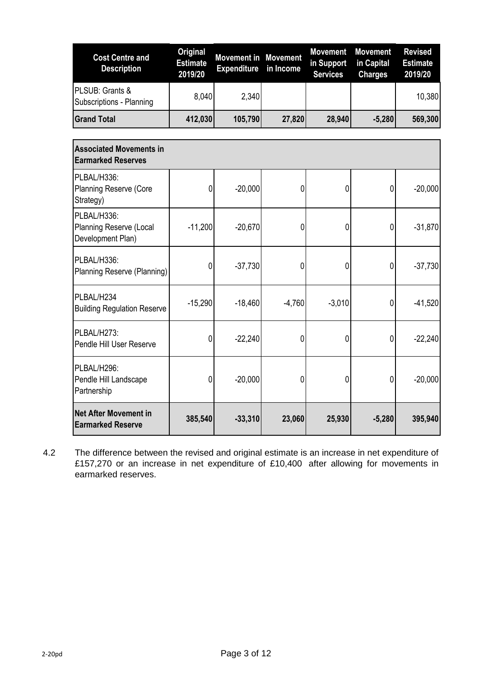| <b>Cost Centre and</b><br><b>Description</b>                       | <b>Original</b><br><b>Estimate</b><br>2019/20 | <b>Movement in Movement</b><br><b>Expenditure</b> | in Income | <b>Movement</b><br>in Support<br><b>Services</b> | <b>Movement</b><br>in Capital<br><b>Charges</b> | <b>Revised</b><br><b>Estimate</b><br>2019/20 |
|--------------------------------------------------------------------|-----------------------------------------------|---------------------------------------------------|-----------|--------------------------------------------------|-------------------------------------------------|----------------------------------------------|
| PLSUB: Grants &<br>Subscriptions - Planning                        | 8,040                                         | 2,340                                             |           |                                                  |                                                 | 10,380                                       |
| <b>Grand Total</b>                                                 | 412,030                                       | 105,790                                           | 27,820    | 28,940                                           | $-5,280$                                        | 569,300                                      |
| <b>Associated Movements in</b><br><b>Earmarked Reserves</b>        |                                               |                                                   |           |                                                  |                                                 |                                              |
| PLBAL/H336:<br><b>Planning Reserve (Core</b><br>Strategy)          | $\overline{0}$                                | $-20,000$                                         | 0         | 0                                                | $\overline{0}$                                  | $-20,000$                                    |
| PLBAL/H336:<br><b>Planning Reserve (Local</b><br>Development Plan) | $-11,200$                                     | $-20,670$                                         | 0         | 0                                                | 0                                               | $-31,870$                                    |
| PLBAL/H336:<br>Planning Reserve (Planning)                         | 0                                             | $-37,730$                                         | 0         | 0                                                | 0                                               | $-37,730$                                    |
| PLBAL/H234<br><b>Building Regulation Reserve</b>                   | $-15,290$                                     | $-18,460$                                         | $-4,760$  | $-3,010$                                         | 0                                               | $-41,520$                                    |
| PLBAL/H273:<br>Pendle Hill User Reserve                            | 0                                             | $-22,240$                                         | 0         | 0                                                | 0                                               | $-22,240$                                    |
| PLBAL/H296:<br>Pendle Hill Landscape<br>Partnership                | $\overline{0}$                                | $-20,000$                                         | 0         | 0                                                | $\overline{0}$                                  | $-20,000$                                    |
| <b>Net After Movement in</b><br><b>Earmarked Reserve</b>           | 385,540                                       | $-33,310$                                         | 23,060    | 25,930                                           | $-5,280$                                        | 395,940                                      |

4.2 The difference between the revised and original estimate is an increase in net expenditure of £157,270 or an increase in net expenditure of £10,400 after allowing for movements in earmarked reserves.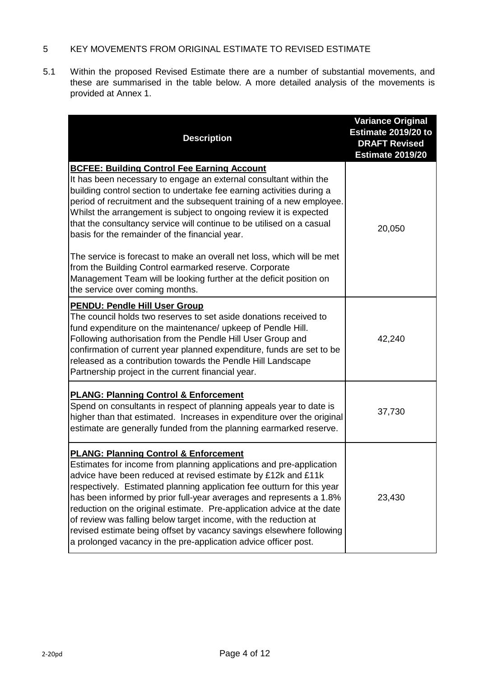#### 5 KEY MOVEMENTS FROM ORIGINAL ESTIMATE TO REVISED ESTIMATE

5.1 Within the proposed Revised Estimate there are a number of substantial movements, and these are summarised in the table below. A more detailed analysis of the movements is provided at Annex 1.

| <b>Description</b>                                                                                                                                                                                                                                                                                                                                                                                                                                                                                                                                                                                                                 | <b>Variance Original</b><br>Estimate 2019/20 to<br><b>DRAFT Revised</b><br><b>Estimate 2019/20</b> |
|------------------------------------------------------------------------------------------------------------------------------------------------------------------------------------------------------------------------------------------------------------------------------------------------------------------------------------------------------------------------------------------------------------------------------------------------------------------------------------------------------------------------------------------------------------------------------------------------------------------------------------|----------------------------------------------------------------------------------------------------|
| <b>BCFEE: Building Control Fee Earning Account</b><br>It has been necessary to engage an external consultant within the<br>building control section to undertake fee earning activities during a<br>period of recruitment and the subsequent training of a new employee.<br>Whilst the arrangement is subject to ongoing review it is expected<br>that the consultancy service will continue to be utilised on a casual<br>basis for the remainder of the financial year.<br>The service is forecast to make an overall net loss, which will be met                                                                                | 20,050                                                                                             |
| from the Building Control earmarked reserve. Corporate<br>Management Team will be looking further at the deficit position on<br>the service over coming months.                                                                                                                                                                                                                                                                                                                                                                                                                                                                    |                                                                                                    |
| <b>PENDU: Pendle Hill User Group</b><br>The council holds two reserves to set aside donations received to<br>fund expenditure on the maintenance/ upkeep of Pendle Hill.<br>Following authorisation from the Pendle Hill User Group and<br>confirmation of current year planned expenditure, funds are set to be<br>released as a contribution towards the Pendle Hill Landscape<br>Partnership project in the current financial year.                                                                                                                                                                                             | 42,240                                                                                             |
| <b>PLANG: Planning Control &amp; Enforcement</b><br>Spend on consultants in respect of planning appeals year to date is<br>higher than that estimated. Increases in expenditure over the original<br>estimate are generally funded from the planning earmarked reserve.                                                                                                                                                                                                                                                                                                                                                            | 37,730                                                                                             |
| <b>PLANG: Planning Control &amp; Enforcement</b><br>Estimates for income from planning applications and pre-application<br>advice have been reduced at revised estimate by £12k and £11k<br>respectively. Estimated planning application fee outturn for this year<br>has been informed by prior full-year averages and represents a 1.8%<br>reduction on the original estimate. Pre-application advice at the date<br>of review was falling below target income, with the reduction at<br>revised estimate being offset by vacancy savings elsewhere following<br>a prolonged vacancy in the pre-application advice officer post. | 23,430                                                                                             |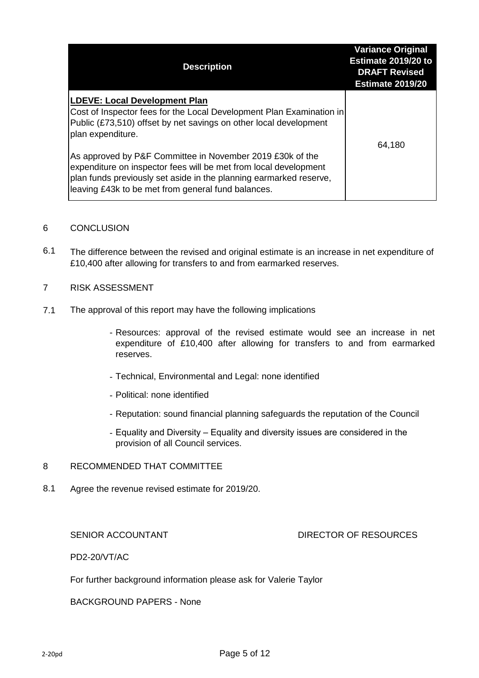| <b>Description</b>                                                                                                                                                                                                                                        | <b>Variance Original</b><br>Estimate 2019/20 to<br><b>DRAFT Revised</b><br><b>Estimate 2019/20</b> |
|-----------------------------------------------------------------------------------------------------------------------------------------------------------------------------------------------------------------------------------------------------------|----------------------------------------------------------------------------------------------------|
| <b>LDEVE: Local Development Plan</b><br>Cost of Inspector fees for the Local Development Plan Examination in<br>Public (£73,510) offset by net savings on other local development<br>plan expenditure.                                                    | 64,180                                                                                             |
| As approved by P&F Committee in November 2019 £30k of the<br>expenditure on inspector fees will be met from local development<br>plan funds previously set aside in the planning earmarked reserve,<br>leaving £43k to be met from general fund balances. |                                                                                                    |

#### 6 **CONCLUSION**

6.1 The difference between the revised and original estimate is an increase in net expenditure of £10,400 after allowing for transfers to and from earmarked reserves.

#### 7 RISK ASSESSMENT

- 7.1 The approval of this report may have the following implications
	- Resources: approval of the revised estimate would see an increase in net expenditure of £10,400 after allowing for transfers to and from earmarked reserves.
	- Technical, Environmental and Legal: none identified
	- Political: none identified
	- Reputation: sound financial planning safeguards the reputation of the Council
	- Equality and Diversity Equality and diversity issues are considered in the provision of all Council services.

#### 8 RECOMMENDED THAT COMMITTEE

8.1 Agree the revenue revised estimate for 2019/20.

## SENIOR ACCOUNTANT **EXECUTE:** DIRECTOR OF RESOURCES

PD2-20/VT/AC

For further background information please ask for Valerie Taylor

BACKGROUND PAPERS - None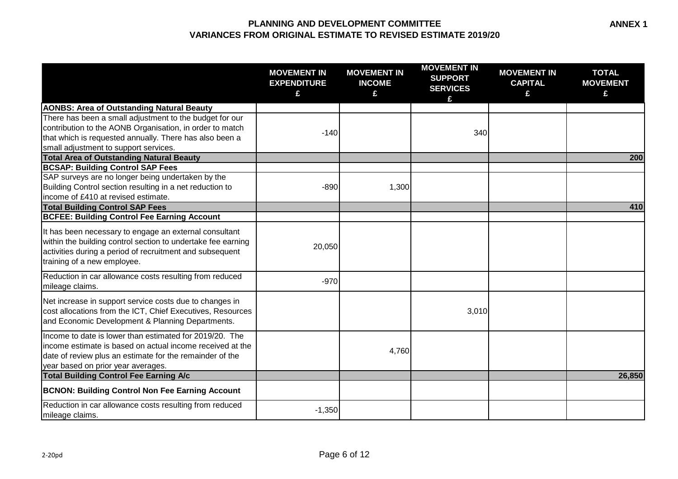|                                                                                                                                                                                                                         | <b>MOVEMENT IN</b><br><b>EXPENDITURE</b><br>£ | <b>MOVEMENT IN</b><br><b>INCOME</b><br>£ | <b>MOVEMENT IN</b><br><b>SUPPORT</b><br><b>SERVICES</b><br>£ | <b>MOVEMENT IN</b><br><b>CAPITAL</b><br>£ | <b>TOTAL</b><br><b>MOVEMENT</b><br>£ |
|-------------------------------------------------------------------------------------------------------------------------------------------------------------------------------------------------------------------------|-----------------------------------------------|------------------------------------------|--------------------------------------------------------------|-------------------------------------------|--------------------------------------|
| <b>AONBS: Area of Outstanding Natural Beauty</b>                                                                                                                                                                        |                                               |                                          |                                                              |                                           |                                      |
| There has been a small adjustment to the budget for our<br>contribution to the AONB Organisation, in order to match<br>that which is requested annually. There has also been a<br>small adjustment to support services. | $-140$                                        |                                          | 340                                                          |                                           |                                      |
| <b>Total Area of Outstanding Natural Beauty</b>                                                                                                                                                                         |                                               |                                          |                                                              |                                           | 200                                  |
| <b>BCSAP: Building Control SAP Fees</b><br>SAP surveys are no longer being undertaken by the<br>Building Control section resulting in a net reduction to<br>income of £410 at revised estimate.                         | $-890$                                        | 1,300                                    |                                                              |                                           |                                      |
| <b>Total Building Control SAP Fees</b>                                                                                                                                                                                  |                                               |                                          |                                                              |                                           | 410                                  |
| <b>BCFEE: Building Control Fee Earning Account</b>                                                                                                                                                                      |                                               |                                          |                                                              |                                           |                                      |
| It has been necessary to engage an external consultant<br>within the building control section to undertake fee earning<br>activities during a period of recruitment and subsequent<br>training of a new employee.       | 20,050                                        |                                          |                                                              |                                           |                                      |
| Reduction in car allowance costs resulting from reduced<br>mileage claims.                                                                                                                                              | $-970$                                        |                                          |                                                              |                                           |                                      |
| Net increase in support service costs due to changes in<br>cost allocations from the ICT, Chief Executives, Resources<br>and Economic Development & Planning Departments.                                               |                                               |                                          | 3,010                                                        |                                           |                                      |
| Income to date is lower than estimated for 2019/20. The<br>income estimate is based on actual income received at the<br>date of review plus an estimate for the remainder of the<br>year based on prior year averages.  |                                               | 4,760                                    |                                                              |                                           |                                      |
| <b>Total Building Control Fee Earning A/c</b>                                                                                                                                                                           |                                               |                                          |                                                              |                                           | 26,850                               |
| <b>BCNON: Building Control Non Fee Earning Account</b>                                                                                                                                                                  |                                               |                                          |                                                              |                                           |                                      |
| Reduction in car allowance costs resulting from reduced<br>mileage claims.                                                                                                                                              | $-1,350$                                      |                                          |                                                              |                                           |                                      |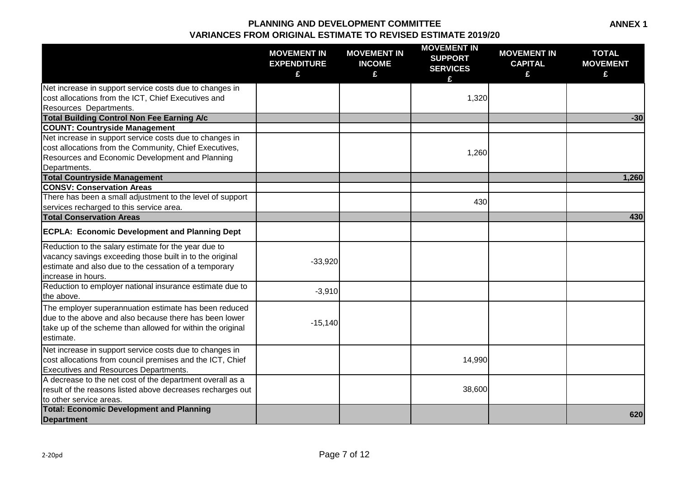|                                                                                                                                                                                                 | <b>MOVEMENT IN</b><br><b>EXPENDITURE</b><br>£ | <b>MOVEMENT IN</b><br><b>INCOME</b><br>£ | <b>MOVEMENT IN</b><br><b>SUPPORT</b><br><b>SERVICES</b><br>£ | <b>MOVEMENT IN</b><br><b>CAPITAL</b><br>£ | <b>TOTAL</b><br><b>MOVEMENT</b><br>£ |
|-------------------------------------------------------------------------------------------------------------------------------------------------------------------------------------------------|-----------------------------------------------|------------------------------------------|--------------------------------------------------------------|-------------------------------------------|--------------------------------------|
| Net increase in support service costs due to changes in                                                                                                                                         |                                               |                                          |                                                              |                                           |                                      |
| cost allocations from the ICT, Chief Executives and                                                                                                                                             |                                               |                                          | 1,320                                                        |                                           |                                      |
| <b>Resources Departments.</b>                                                                                                                                                                   |                                               |                                          |                                                              |                                           |                                      |
| Total Building Control Non Fee Earning A/c                                                                                                                                                      |                                               |                                          |                                                              |                                           | $-30$                                |
| <b>COUNT: Countryside Management</b>                                                                                                                                                            |                                               |                                          |                                                              |                                           |                                      |
| Net increase in support service costs due to changes in                                                                                                                                         |                                               |                                          |                                                              |                                           |                                      |
| cost allocations from the Community, Chief Executives,                                                                                                                                          |                                               |                                          | 1,260                                                        |                                           |                                      |
| Resources and Economic Development and Planning                                                                                                                                                 |                                               |                                          |                                                              |                                           |                                      |
| Departments.                                                                                                                                                                                    |                                               |                                          |                                                              |                                           |                                      |
| <b>Total Countryside Management</b>                                                                                                                                                             |                                               |                                          |                                                              |                                           | 1,260                                |
| <b>CONSV: Conservation Areas</b>                                                                                                                                                                |                                               |                                          |                                                              |                                           |                                      |
| There has been a small adjustment to the level of support                                                                                                                                       |                                               |                                          | 430                                                          |                                           |                                      |
| services recharged to this service area.                                                                                                                                                        |                                               |                                          |                                                              |                                           |                                      |
| <b>Total Conservation Areas</b>                                                                                                                                                                 |                                               |                                          |                                                              |                                           | 430                                  |
| <b>ECPLA: Economic Development and Planning Dept</b>                                                                                                                                            |                                               |                                          |                                                              |                                           |                                      |
| Reduction to the salary estimate for the year due to<br>vacancy savings exceeding those built in to the original<br>estimate and also due to the cessation of a temporary<br>increase in hours. | $-33,920$                                     |                                          |                                                              |                                           |                                      |
| Reduction to employer national insurance estimate due to                                                                                                                                        |                                               |                                          |                                                              |                                           |                                      |
| the above.                                                                                                                                                                                      | $-3,910$                                      |                                          |                                                              |                                           |                                      |
| The employer superannuation estimate has been reduced<br>due to the above and also because there has been lower<br>take up of the scheme than allowed for within the original<br>estimate.      | $-15,140$                                     |                                          |                                                              |                                           |                                      |
| Net increase in support service costs due to changes in<br>cost allocations from council premises and the ICT, Chief<br><b>Executives and Resources Departments.</b>                            |                                               |                                          | 14,990                                                       |                                           |                                      |
| A decrease to the net cost of the department overall as a<br>result of the reasons listed above decreases recharges out<br>to other service areas.                                              |                                               |                                          | 38,600                                                       |                                           |                                      |
| <b>Total: Economic Development and Planning</b><br><b>Department</b>                                                                                                                            |                                               |                                          |                                                              |                                           | 620                                  |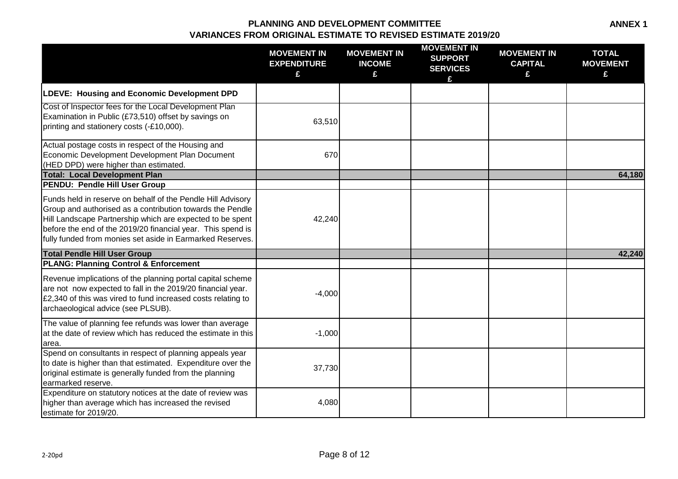|                                                                                                                                                                                                                                                                                                                   | <b>MOVEMENT IN</b><br><b>EXPENDITURE</b><br>£ | <b>MOVEMENT IN</b><br><b>INCOME</b><br>£ | <b>MOVEMENT IN</b><br><b>SUPPORT</b><br><b>SERVICES</b> | <b>MOVEMENT IN</b><br><b>CAPITAL</b><br>£ | <b>TOTAL</b><br><b>MOVEMENT</b><br>£ |
|-------------------------------------------------------------------------------------------------------------------------------------------------------------------------------------------------------------------------------------------------------------------------------------------------------------------|-----------------------------------------------|------------------------------------------|---------------------------------------------------------|-------------------------------------------|--------------------------------------|
| LDEVE: Housing and Economic Development DPD                                                                                                                                                                                                                                                                       |                                               |                                          |                                                         |                                           |                                      |
| Cost of Inspector fees for the Local Development Plan<br>Examination in Public (£73,510) offset by savings on<br>printing and stationery costs (-£10,000).                                                                                                                                                        | 63,510                                        |                                          |                                                         |                                           |                                      |
| Actual postage costs in respect of the Housing and<br>Economic Development Development Plan Document<br>(HED DPD) were higher than estimated.                                                                                                                                                                     | 670                                           |                                          |                                                         |                                           |                                      |
| <b>Total: Local Development Plan</b><br><b>PENDU: Pendle Hill User Group</b>                                                                                                                                                                                                                                      |                                               |                                          |                                                         |                                           | 64,180                               |
| Funds held in reserve on behalf of the Pendle Hill Advisory<br>Group and authorised as a contribution towards the Pendle<br>Hill Landscape Partnership which are expected to be spent<br>before the end of the 2019/20 financial year. This spend is<br>fully funded from monies set aside in Earmarked Reserves. | 42,240                                        |                                          |                                                         |                                           |                                      |
| <b>Total Pendle Hill User Group</b>                                                                                                                                                                                                                                                                               |                                               |                                          |                                                         |                                           | 42,240                               |
| <b>PLANG: Planning Control &amp; Enforcement</b>                                                                                                                                                                                                                                                                  |                                               |                                          |                                                         |                                           |                                      |
| Revenue implications of the planning portal capital scheme<br>are not now expected to fall in the 2019/20 financial year.<br>£2,340 of this was vired to fund increased costs relating to<br>archaeological advice (see PLSUB).                                                                                   | $-4,000$                                      |                                          |                                                         |                                           |                                      |
| The value of planning fee refunds was lower than average<br>at the date of review which has reduced the estimate in this<br>area.                                                                                                                                                                                 | $-1,000$                                      |                                          |                                                         |                                           |                                      |
| Spend on consultants in respect of planning appeals year<br>to date is higher than that estimated. Expenditure over the<br>original estimate is generally funded from the planning<br>earmarked reserve.                                                                                                          | 37,730                                        |                                          |                                                         |                                           |                                      |
| Expenditure on statutory notices at the date of review was<br>higher than average which has increased the revised<br>estimate for 2019/20.                                                                                                                                                                        | 4,080                                         |                                          |                                                         |                                           |                                      |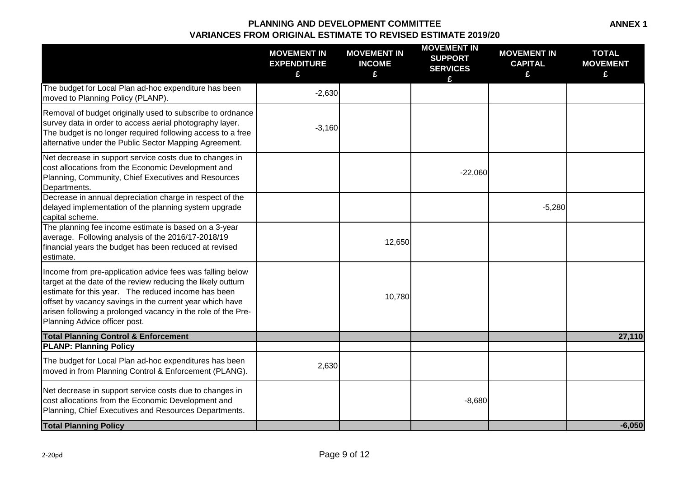|                                                                                                                                                                                                                                                                                                                                               | <b>MOVEMENT IN</b><br><b>EXPENDITURE</b><br>£ | <b>MOVEMENT IN</b><br><b>INCOME</b><br>£ | <b>MOVEMENT IN</b><br><b>SUPPORT</b><br><b>SERVICES</b><br>£ | <b>MOVEMENT IN</b><br><b>CAPITAL</b><br>£ | <b>TOTAL</b><br><b>MOVEMENT</b><br>£ |
|-----------------------------------------------------------------------------------------------------------------------------------------------------------------------------------------------------------------------------------------------------------------------------------------------------------------------------------------------|-----------------------------------------------|------------------------------------------|--------------------------------------------------------------|-------------------------------------------|--------------------------------------|
| The budget for Local Plan ad-hoc expenditure has been<br>moved to Planning Policy (PLANP).                                                                                                                                                                                                                                                    | $-2,630$                                      |                                          |                                                              |                                           |                                      |
| Removal of budget originally used to subscribe to ordnance<br>survey data in order to access aerial photography layer.<br>The budget is no longer required following access to a free<br>alternative under the Public Sector Mapping Agreement.                                                                                               | $-3,160$                                      |                                          |                                                              |                                           |                                      |
| Net decrease in support service costs due to changes in<br>cost allocations from the Economic Development and<br>Planning, Community, Chief Executives and Resources<br>Departments.                                                                                                                                                          |                                               |                                          | $-22,060$                                                    |                                           |                                      |
| Decrease in annual depreciation charge in respect of the<br>delayed implementation of the planning system upgrade<br>capital scheme.                                                                                                                                                                                                          |                                               |                                          |                                                              | $-5,280$                                  |                                      |
| The planning fee income estimate is based on a 3-year<br>average. Following analysis of the 2016/17-2018/19<br>financial years the budget has been reduced at revised<br>estimate.                                                                                                                                                            |                                               | 12,650                                   |                                                              |                                           |                                      |
| Income from pre-application advice fees was falling below<br>target at the date of the review reducing the likely outturn<br>estimate for this year. The reduced income has been<br>offset by vacancy savings in the current year which have<br>arisen following a prolonged vacancy in the role of the Pre-<br>Planning Advice officer post. |                                               | 10,780                                   |                                                              |                                           |                                      |
| <b>Total Planning Control &amp; Enforcement</b><br><b>PLANP: Planning Policy</b>                                                                                                                                                                                                                                                              |                                               |                                          |                                                              |                                           | 27,110                               |
| The budget for Local Plan ad-hoc expenditures has been<br>moved in from Planning Control & Enforcement (PLANG).                                                                                                                                                                                                                               | 2,630                                         |                                          |                                                              |                                           |                                      |
| Net decrease in support service costs due to changes in<br>cost allocations from the Economic Development and<br>Planning, Chief Executives and Resources Departments.                                                                                                                                                                        |                                               |                                          | $-8,680$                                                     |                                           |                                      |
| <b>Total Planning Policy</b>                                                                                                                                                                                                                                                                                                                  |                                               |                                          |                                                              |                                           | $-6,050$                             |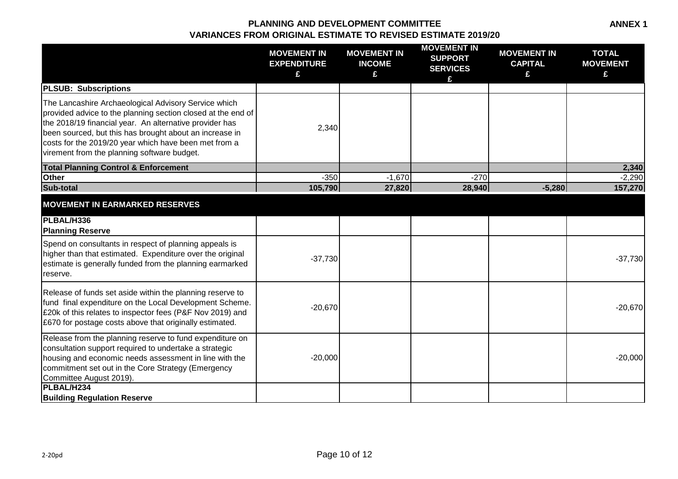|                                                                                                                                                                                                                                                                                                                                                    | <b>MOVEMENT IN</b><br><b>EXPENDITURE</b><br>£ | <b>MOVEMENT IN</b><br><b>INCOME</b><br>£ | <b>MOVEMENT IN</b><br><b>SUPPORT</b><br><b>SERVICES</b><br>£ | <b>MOVEMENT IN</b><br><b>CAPITAL</b><br>£ | <b>TOTAL</b><br><b>MOVEMENT</b><br>£ |
|----------------------------------------------------------------------------------------------------------------------------------------------------------------------------------------------------------------------------------------------------------------------------------------------------------------------------------------------------|-----------------------------------------------|------------------------------------------|--------------------------------------------------------------|-------------------------------------------|--------------------------------------|
| <b>PLSUB: Subscriptions</b>                                                                                                                                                                                                                                                                                                                        |                                               |                                          |                                                              |                                           |                                      |
| The Lancashire Archaeological Advisory Service which<br>provided advice to the planning section closed at the end of<br>the 2018/19 financial year. An alternative provider has<br>been sourced, but this has brought about an increase in<br>costs for the 2019/20 year which have been met from a<br>virement from the planning software budget. | 2,340                                         |                                          |                                                              |                                           |                                      |
| <b>Total Planning Control &amp; Enforcement</b>                                                                                                                                                                                                                                                                                                    |                                               |                                          |                                                              |                                           | 2,340                                |
| Other                                                                                                                                                                                                                                                                                                                                              | $-350$                                        | $-1,670$                                 | $-270$                                                       |                                           | $-2,290$                             |
| Sub-total                                                                                                                                                                                                                                                                                                                                          | 105,790                                       | 27,820                                   | 28,940                                                       | $-5,280$                                  | 157,270                              |
| <b>MOVEMENT IN EARMARKED RESERVES</b>                                                                                                                                                                                                                                                                                                              |                                               |                                          |                                                              |                                           |                                      |
| PLBAL/H336<br><b>Planning Reserve</b>                                                                                                                                                                                                                                                                                                              |                                               |                                          |                                                              |                                           |                                      |
| Spend on consultants in respect of planning appeals is<br>higher than that estimated. Expenditure over the original<br>estimate is generally funded from the planning earmarked<br>reserve.                                                                                                                                                        | $-37,730$                                     |                                          |                                                              |                                           | $-37,730$                            |
| Release of funds set aside within the planning reserve to<br>fund final expenditure on the Local Development Scheme.<br>£20k of this relates to inspector fees (P&F Nov 2019) and<br>E670 for postage costs above that originally estimated.                                                                                                       | $-20,670$                                     |                                          |                                                              |                                           | $-20,670$                            |
| Release from the planning reserve to fund expenditure on<br>consultation support required to undertake a strategic<br>housing and economic needs assessment in line with the<br>commitment set out in the Core Strategy (Emergency<br>Committee August 2019).                                                                                      | $-20,000$                                     |                                          |                                                              |                                           | $-20,000$                            |
| PLBAL/H234<br><b>Building Regulation Reserve</b>                                                                                                                                                                                                                                                                                                   |                                               |                                          |                                                              |                                           |                                      |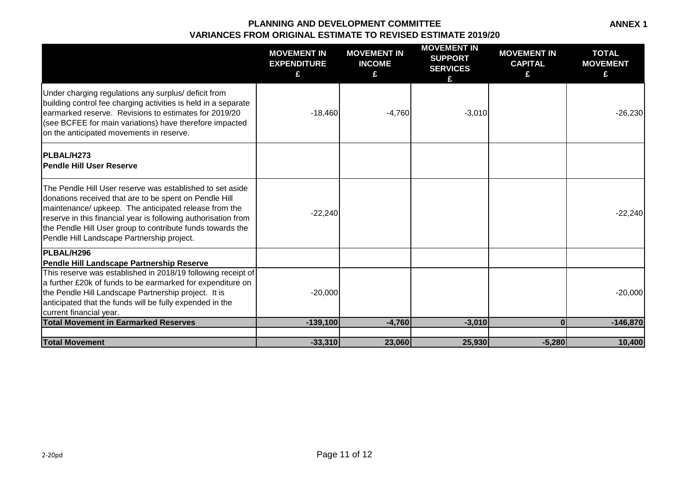**ANNEX 1**

|                                                                                                                                                                                                                                                                                                                                                            | <b>MOVEMENT IN</b><br><b>EXPENDITURE</b><br>£ | <b>MOVEMENT IN</b><br><b>INCOME</b><br>£ | <b>MOVEMENT IN</b><br><b>SUPPORT</b><br><b>SERVICES</b><br>£ | <b>MOVEMENT IN</b><br><b>CAPITAL</b><br>£ | <b>TOTAL</b><br><b>MOVEMENT</b><br>£ |
|------------------------------------------------------------------------------------------------------------------------------------------------------------------------------------------------------------------------------------------------------------------------------------------------------------------------------------------------------------|-----------------------------------------------|------------------------------------------|--------------------------------------------------------------|-------------------------------------------|--------------------------------------|
| Under charging regulations any surplus/ deficit from<br>building control fee charging activities is held in a separate<br>earmarked reserve. Revisions to estimates for 2019/20<br>(see BCFEE for main variations) have therefore impacted<br>on the anticipated movements in reserve.                                                                     | $-18,460$                                     | $-4,760$                                 | $-3,010$                                                     |                                           | $-26,230$                            |
| <b>IPLBAL/H273</b><br>lPendle Hill User Reserve                                                                                                                                                                                                                                                                                                            |                                               |                                          |                                                              |                                           |                                      |
| The Pendle Hill User reserve was established to set aside<br>donations received that are to be spent on Pendle Hill<br>maintenance/ upkeep. The anticipated release from the<br>reserve in this financial year is following authorisation from<br>the Pendle Hill User group to contribute funds towards the<br>Pendle Hill Landscape Partnership project. | $-22,240$                                     |                                          |                                                              |                                           | $-22,240$                            |
| PLBAL/H296                                                                                                                                                                                                                                                                                                                                                 |                                               |                                          |                                                              |                                           |                                      |
| Pendle Hill Landscape Partnership Reserve<br>This reserve was established in 2018/19 following receipt of<br>a further £20k of funds to be earmarked for expenditure on<br>the Pendle Hill Landscape Partnership project. It is<br>anticipated that the funds will be fully expended in the<br>current financial year.                                     | $-20,000$                                     |                                          |                                                              |                                           | $-20,000$                            |
| <b>Total Movement in Earmarked Reserves</b>                                                                                                                                                                                                                                                                                                                | $-139,100$                                    | $-4,760$                                 | $-3,010$                                                     | $\Omega$                                  | $-146,870$                           |
| <b>Total Movement</b>                                                                                                                                                                                                                                                                                                                                      | $-33,310$                                     | 23,060                                   | 25,930                                                       | $-5,280$                                  | 10,400                               |